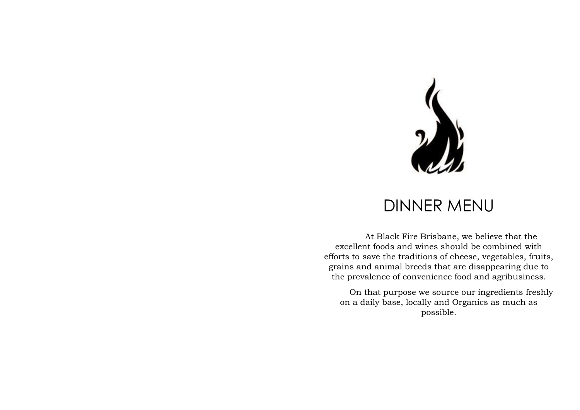

## DINNER MENU

At Black Fire Brisbane, we believe that the excellent foods and wines should be combined with efforts to save the traditions of cheese, vegetables, fruits, grains and animal breeds that are disappearing due to the prevalence of convenience food and agribusiness.

On that purpose we source our ingredients freshly on a daily base, locally and Organics as much as possible.